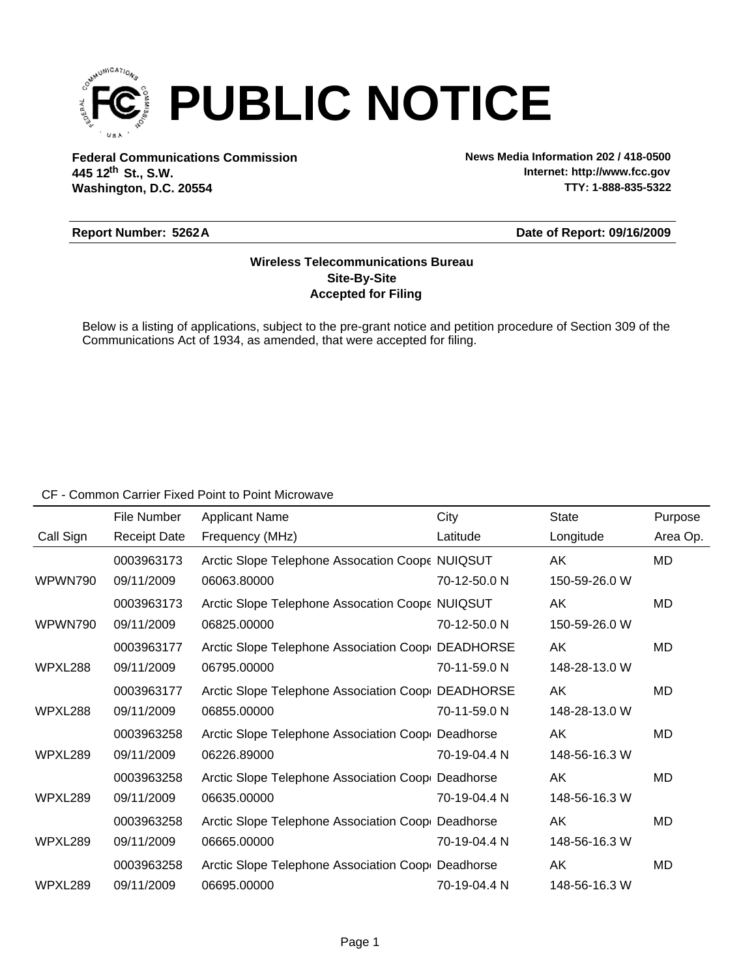

**Federal Communications Commission News Media Information 202 / 418-0500 Washington, D.C. 20554 th 445 12 St., S.W.**

**Internet: http://www.fcc.gov TTY: 1-888-835-5322**

### **Report Number: 5262A**

### **Date of Report: 09/16/2009**

## **Accepted for Filing Site-By-Site Wireless Telecommunications Bureau**

Below is a listing of applications, subject to the pre-grant notice and petition procedure of Section 309 of the Communications Act of 1934, as amended, that were accepted for filing.

### CF - Common Carrier Fixed Point to Point Microwave

|           | File Number         | <b>Applicant Name</b>                             | City         | <b>State</b>  | Purpose  |
|-----------|---------------------|---------------------------------------------------|--------------|---------------|----------|
| Call Sign | <b>Receipt Date</b> | Frequency (MHz)                                   | Latitude     | Longitude     | Area Op. |
|           | 0003963173          | Arctic Slope Telephone Assocation Coope NUIQSUT   |              | AK            | MD       |
| WPWN790   | 09/11/2009          | 06063.80000                                       | 70-12-50.0 N | 150-59-26.0 W |          |
|           | 0003963173          | Arctic Slope Telephone Assocation Coope NUIQSUT   |              | AK            | MD       |
| WPWN790   | 09/11/2009          | 06825.00000                                       | 70-12-50.0 N | 150-59-26.0 W |          |
|           | 0003963177          | Arctic Slope Telephone Association Coop DEADHORSE |              | AK            | MD       |
| WPXL288   | 09/11/2009          | 06795.00000                                       | 70-11-59.0 N | 148-28-13.0 W |          |
|           | 0003963177          | Arctic Slope Telephone Association Coop DEADHORSE |              | AK            | MD       |
| WPXL288   | 09/11/2009          | 06855.00000                                       | 70-11-59.0 N | 148-28-13.0 W |          |
|           | 0003963258          | Arctic Slope Telephone Association Coop Deadhorse |              | AK.           | MD       |
| WPXL289   | 09/11/2009          | 06226.89000                                       | 70-19-04.4 N | 148-56-16.3 W |          |
|           | 0003963258          | Arctic Slope Telephone Association Coop Deadhorse |              | AK            | MD       |
| WPXL289   | 09/11/2009          | 06635.00000                                       | 70-19-04.4 N | 148-56-16.3 W |          |
|           | 0003963258          | Arctic Slope Telephone Association Coop Deadhorse |              | AK            | MD       |
| WPXL289   | 09/11/2009          | 06665.00000                                       | 70-19-04.4 N | 148-56-16.3 W |          |
|           | 0003963258          | Arctic Slope Telephone Association Coop Deadhorse |              | AK            | MD       |
| WPXL289   | 09/11/2009          | 06695.00000                                       | 70-19-04.4 N | 148-56-16.3 W |          |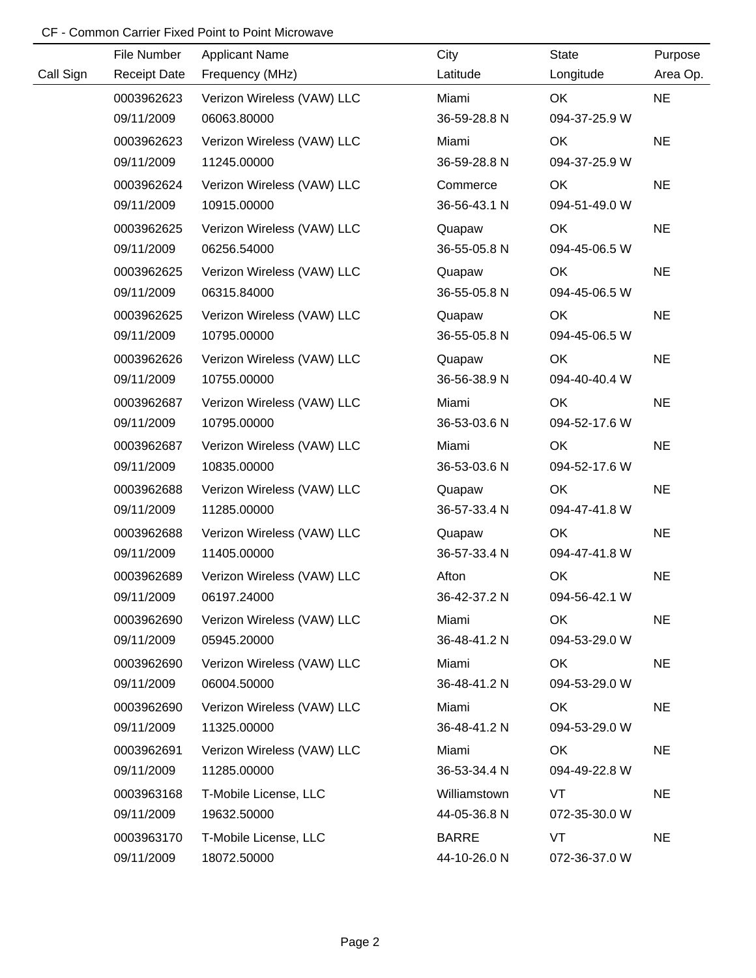# CF - Common Carrier Fixed Point to Point Microwave

|           | File Number         | <b>Applicant Name</b>      | City         | <b>State</b>  | Purpose   |
|-----------|---------------------|----------------------------|--------------|---------------|-----------|
| Call Sign | <b>Receipt Date</b> | Frequency (MHz)            | Latitude     | Longitude     | Area Op.  |
|           | 0003962623          | Verizon Wireless (VAW) LLC | Miami        | OK            | <b>NE</b> |
|           | 09/11/2009          | 06063.80000                | 36-59-28.8 N | 094-37-25.9 W |           |
|           | 0003962623          | Verizon Wireless (VAW) LLC | Miami        | OK            | <b>NE</b> |
|           | 09/11/2009          | 11245.00000                | 36-59-28.8 N | 094-37-25.9 W |           |
|           | 0003962624          | Verizon Wireless (VAW) LLC | Commerce     | OK            | <b>NE</b> |
|           | 09/11/2009          | 10915.00000                | 36-56-43.1 N | 094-51-49.0 W |           |
|           | 0003962625          | Verizon Wireless (VAW) LLC | Quapaw       | OK            | <b>NE</b> |
|           | 09/11/2009          | 06256.54000                | 36-55-05.8 N | 094-45-06.5 W |           |
|           | 0003962625          | Verizon Wireless (VAW) LLC | Quapaw       | OK            | <b>NE</b> |
|           | 09/11/2009          | 06315.84000                | 36-55-05.8 N | 094-45-06.5 W |           |
|           | 0003962625          | Verizon Wireless (VAW) LLC | Quapaw       | OK            | <b>NE</b> |
|           | 09/11/2009          | 10795.00000                | 36-55-05.8 N | 094-45-06.5 W |           |
|           | 0003962626          | Verizon Wireless (VAW) LLC | Quapaw       | OK            | <b>NE</b> |
|           | 09/11/2009          | 10755.00000                | 36-56-38.9 N | 094-40-40.4 W |           |
|           | 0003962687          | Verizon Wireless (VAW) LLC | Miami        | OK            | <b>NE</b> |
|           | 09/11/2009          | 10795.00000                | 36-53-03.6 N | 094-52-17.6 W |           |
|           | 0003962687          | Verizon Wireless (VAW) LLC | Miami        | OK            | <b>NE</b> |
|           | 09/11/2009          | 10835.00000                | 36-53-03.6 N | 094-52-17.6 W |           |
|           | 0003962688          | Verizon Wireless (VAW) LLC | Quapaw       | OK            | <b>NE</b> |
|           | 09/11/2009          | 11285.00000                | 36-57-33.4 N | 094-47-41.8 W |           |
|           | 0003962688          | Verizon Wireless (VAW) LLC | Quapaw       | OK            | <b>NE</b> |
|           | 09/11/2009          | 11405.00000                | 36-57-33.4 N | 094-47-41.8 W |           |
|           | 0003962689          | Verizon Wireless (VAW) LLC | Afton        | OK            | <b>NE</b> |
|           | 09/11/2009          | 06197.24000                | 36-42-37.2 N | 094-56-42.1 W |           |
|           | 0003962690          | Verizon Wireless (VAW) LLC | Miami        | OK            | <b>NE</b> |
|           | 09/11/2009          | 05945.20000                | 36-48-41.2 N | 094-53-29.0 W |           |
|           | 0003962690          | Verizon Wireless (VAW) LLC | Miami        | OK            | <b>NE</b> |
|           | 09/11/2009          | 06004.50000                | 36-48-41.2 N | 094-53-29.0 W |           |
|           | 0003962690          | Verizon Wireless (VAW) LLC | Miami        | OK            | <b>NE</b> |
|           | 09/11/2009          | 11325.00000                | 36-48-41.2 N | 094-53-29.0 W |           |
|           | 0003962691          | Verizon Wireless (VAW) LLC | Miami        | OK            | <b>NE</b> |
|           | 09/11/2009          | 11285.00000                | 36-53-34.4 N | 094-49-22.8 W |           |
|           | 0003963168          | T-Mobile License, LLC      | Williamstown | <b>VT</b>     | <b>NE</b> |
|           | 09/11/2009          | 19632.50000                | 44-05-36.8 N | 072-35-30.0 W |           |
|           | 0003963170          | T-Mobile License, LLC      | <b>BARRE</b> | <b>VT</b>     | <b>NE</b> |
|           | 09/11/2009          | 18072.50000                | 44-10-26.0 N | 072-36-37.0 W |           |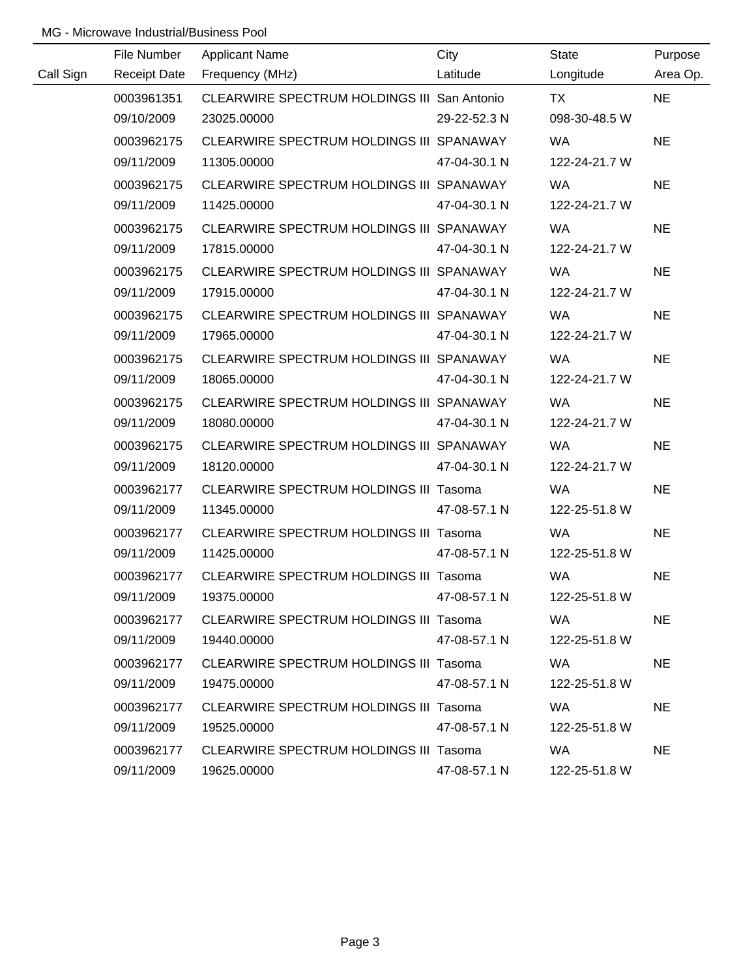# MG - Microwave Industrial/Business Pool

|           | File Number | <b>Applicant Name</b>                         | City         | State         | Purpose   |  |
|-----------|-------------|-----------------------------------------------|--------------|---------------|-----------|--|
| Call Sign |             | Receipt Date Frequency (MHz)                  | Latitude     | Longitude     | Area Op.  |  |
|           | 0003961351  | CLEARWIRE SPECTRUM HOLDINGS III San Antonio   |              | <b>TX</b>     | <b>NE</b> |  |
|           | 09/10/2009  | 23025.00000                                   | 29-22-52.3 N | 098-30-48.5 W |           |  |
|           | 0003962175  | CLEARWIRE SPECTRUM HOLDINGS III SPANAWAY      |              | <b>WA</b>     | <b>NE</b> |  |
|           | 09/11/2009  | 11305.00000                                   | 47-04-30.1 N | 122-24-21.7 W |           |  |
|           | 0003962175  | CLEARWIRE SPECTRUM HOLDINGS III SPANAWAY      |              | <b>WA</b>     | <b>NE</b> |  |
|           | 09/11/2009  | 11425.00000                                   | 47-04-30.1 N | 122-24-21.7 W |           |  |
|           | 0003962175  | CLEARWIRE SPECTRUM HOLDINGS III SPANAWAY      |              | <b>WA</b>     | <b>NE</b> |  |
|           | 09/11/2009  | 17815.00000                                   | 47-04-30.1 N | 122-24-21.7 W |           |  |
|           | 0003962175  | CLEARWIRE SPECTRUM HOLDINGS III SPANAWAY      |              | <b>WA</b>     | <b>NE</b> |  |
|           | 09/11/2009  | 17915.00000                                   | 47-04-30.1 N | 122-24-21.7 W |           |  |
|           | 0003962175  | CLEARWIRE SPECTRUM HOLDINGS III SPANAWAY      |              | <b>WA</b>     | <b>NE</b> |  |
|           | 09/11/2009  | 17965.00000                                   | 47-04-30.1 N | 122-24-21.7 W |           |  |
|           | 0003962175  | CLEARWIRE SPECTRUM HOLDINGS III SPANAWAY      |              | <b>WA</b>     | <b>NE</b> |  |
|           | 09/11/2009  | 18065.00000                                   | 47-04-30.1 N | 122-24-21.7 W |           |  |
|           | 0003962175  | CLEARWIRE SPECTRUM HOLDINGS III SPANAWAY      |              | <b>WA</b>     | <b>NE</b> |  |
|           | 09/11/2009  | 18080.00000                                   | 47-04-30.1 N | 122-24-21.7 W |           |  |
|           | 0003962175  | CLEARWIRE SPECTRUM HOLDINGS III SPANAWAY      |              | <b>WA</b>     | <b>NE</b> |  |
|           | 09/11/2009  | 18120.00000                                   | 47-04-30.1 N | 122-24-21.7 W |           |  |
|           | 0003962177  | CLEARWIRE SPECTRUM HOLDINGS III Tasoma        |              | WA            | <b>NE</b> |  |
|           | 09/11/2009  | 11345.00000                                   | 47-08-57.1 N | 122-25-51.8 W |           |  |
|           | 0003962177  | <b>CLEARWIRE SPECTRUM HOLDINGS III Tasoma</b> |              | <b>WA</b>     | <b>NE</b> |  |
|           | 09/11/2009  | 11425.00000                                   | 47-08-57.1 N | 122-25-51.8 W |           |  |
|           | 0003962177  | CLEARWIRE SPECTRUM HOLDINGS III Tasoma        |              | WA            | <b>NE</b> |  |
|           | 09/11/2009  | 19375.00000                                   | 47-08-57.1 N | 122-25-51.8 W |           |  |
|           | 0003962177  | <b>CLEARWIRE SPECTRUM HOLDINGS III Tasoma</b> |              | WA.           | <b>NE</b> |  |
|           | 09/11/2009  | 19440.00000                                   | 47-08-57.1 N | 122-25-51.8 W |           |  |
|           | 0003962177  | <b>CLEARWIRE SPECTRUM HOLDINGS III Tasoma</b> |              | WA.           | <b>NE</b> |  |
|           | 09/11/2009  | 19475.00000                                   | 47-08-57.1 N | 122-25-51.8 W |           |  |
|           | 0003962177  | <b>CLEARWIRE SPECTRUM HOLDINGS III Tasoma</b> |              | <b>WA</b>     | <b>NE</b> |  |
|           | 09/11/2009  | 19525.00000                                   | 47-08-57.1 N | 122-25-51.8 W |           |  |
|           | 0003962177  | <b>CLEARWIRE SPECTRUM HOLDINGS III Tasoma</b> |              | WA.           | <b>NE</b> |  |
|           | 09/11/2009  | 19625.00000                                   | 47-08-57.1 N | 122-25-51.8 W |           |  |